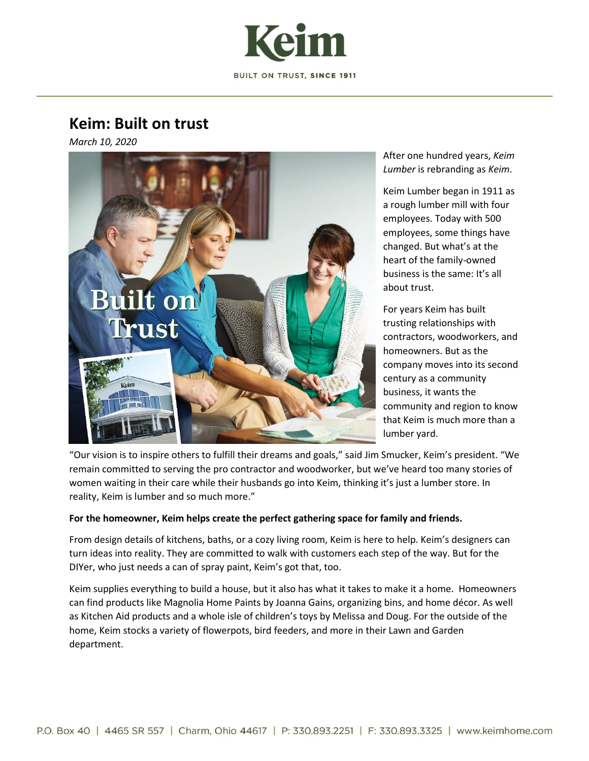

# **Keim: Built on trust**

*March 10, 2020*



After one hundred years, *Keim Lumber* is rebranding as *Keim*.

Keim Lumber began in 1911 as a rough lumber mill with four employees. Today with 500 employees, some things have changed. But what's at the heart of the family-owned business is the same: It's all about trust.

For years Keim has built trusting relationships with contractors, woodworkers, and homeowners. But as the company moves into its second century as a community business, it wants the community and region to know that Keim is much more than a lumber yard.

"Our vision is to inspire others to fulfill their dreams and goals," said Jim Smucker, Keim's president. "We remain committed to serving the pro contractor and woodworker, but we've heard too many stories of women waiting in their care while their husbands go into Keim, thinking it's just a lumber store. In reality, Keim is lumber and so much more."

# **For the homeowner, Keim helps create the perfect gathering space for family and friends.**

From design details of kitchens, baths, or a cozy living room, Keim is here to help. Keim's designers can turn ideas into reality. They are committed to walk with customers each step of the way. But for the DIYer, who just needs a can of spray paint, Keim's got that, too.

Keim supplies everything to build a house, but it also has what it takes to make it a home. Homeowners can find products like Magnolia Home Paints by Joanna Gains, organizing bins, and home décor. As well as Kitchen Aid products and a whole isle of children's toys by Melissa and Doug. For the outside of the home, Keim stocks a variety of flowerpots, bird feeders, and more in their Lawn and Garden department.